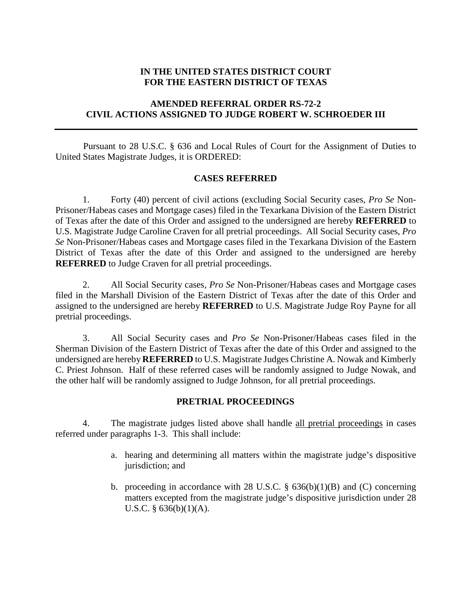## **IN THE UNITED STATES DISTRICT COURT FOR THE EASTERN DISTRICT OF TEXAS**

# **AMENDED REFERRAL ORDER RS-72-2 CIVIL ACTIONS ASSIGNED TO JUDGE ROBERT W. SCHROEDER III**

Pursuant to 28 U.S.C. § 636 and Local Rules of Court for the Assignment of Duties to United States Magistrate Judges, it is ORDERED:

## **CASES REFERRED**

1. Forty (40) percent of civil actions (excluding Social Security cases, *Pro Se* Non-Prisoner/Habeas cases and Mortgage cases) filed in the Texarkana Division of the Eastern District of Texas after the date of this Order and assigned to the undersigned are hereby **REFERRED** to U.S. Magistrate Judge Caroline Craven for all pretrial proceedings. All Social Security cases, *Pro Se* Non-Prisoner/Habeas cases and Mortgage cases filed in the Texarkana Division of the Eastern District of Texas after the date of this Order and assigned to the undersigned are hereby **REFERRED** to Judge Craven for all pretrial proceedings.

2. All Social Security cases, *Pro Se* Non-Prisoner/Habeas cases and Mortgage cases filed in the Marshall Division of the Eastern District of Texas after the date of this Order and assigned to the undersigned are hereby **REFERRED** to U.S. Magistrate Judge Roy Payne for all pretrial proceedings.

3. All Social Security cases and *Pro Se* Non-Prisoner/Habeas cases filed in the Sherman Division of the Eastern District of Texas after the date of this Order and assigned to the undersigned are hereby **REFERRED** to U.S. Magistrate Judges Christine A. Nowak and Kimberly C. Priest Johnson. Half of these referred cases will be randomly assigned to Judge Nowak, and the other half will be randomly assigned to Judge Johnson, for all pretrial proceedings.

### **PRETRIAL PROCEEDINGS**

4. The magistrate judges listed above shall handle all pretrial proceedings in cases referred under paragraphs 1-3. This shall include:

- a. hearing and determining all matters within the magistrate judge's dispositive jurisdiction; and
- b. proceeding in accordance with 28 U.S.C.  $\S$  636(b)(1)(B) and (C) concerning matters excepted from the magistrate judge's dispositive jurisdiction under 28 U.S.C. § 636(b)(1)(A).